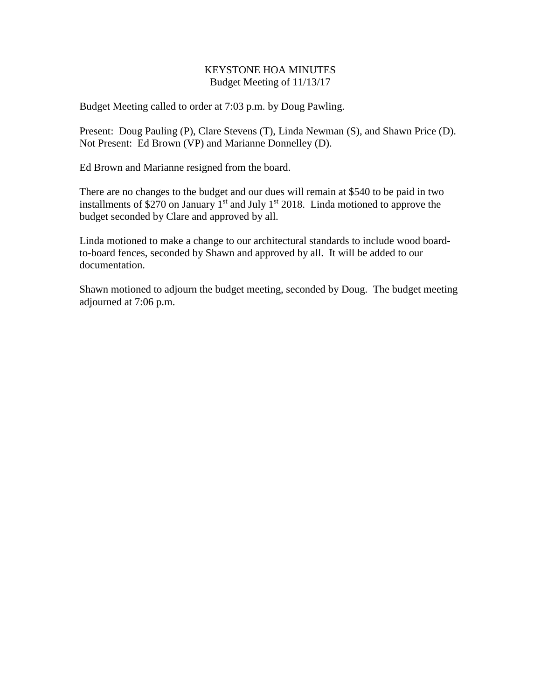### KEYSTONE HOA MINUTES Budget Meeting of 11/13/17

Budget Meeting called to order at 7:03 p.m. by Doug Pawling.

Present: Doug Pauling (P), Clare Stevens (T), Linda Newman (S), and Shawn Price (D). Not Present: Ed Brown (VP) and Marianne Donnelley (D).

Ed Brown and Marianne resigned from the board.

There are no changes to the budget and our dues will remain at \$540 to be paid in two installments of \$270 on January  $1<sup>st</sup>$  and July  $1<sup>st</sup>$  2018. Linda motioned to approve the budget seconded by Clare and approved by all.

Linda motioned to make a change to our architectural standards to include wood boardto-board fences, seconded by Shawn and approved by all. It will be added to our documentation.

Shawn motioned to adjourn the budget meeting, seconded by Doug. The budget meeting adjourned at 7:06 p.m.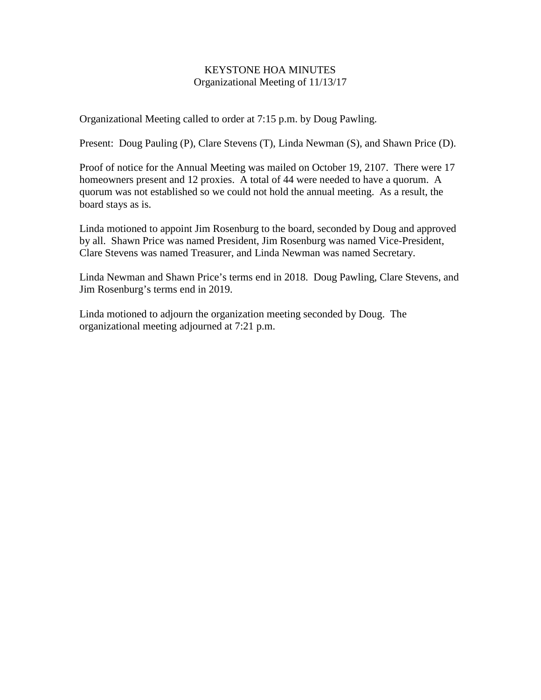# KEYSTONE HOA MINUTES Organizational Meeting of 11/13/17

Organizational Meeting called to order at 7:15 p.m. by Doug Pawling.

Present: Doug Pauling (P), Clare Stevens (T), Linda Newman (S), and Shawn Price (D).

Proof of notice for the Annual Meeting was mailed on October 19, 2107. There were 17 homeowners present and 12 proxies. A total of 44 were needed to have a quorum. A quorum was not established so we could not hold the annual meeting. As a result, the board stays as is.

Linda motioned to appoint Jim Rosenburg to the board, seconded by Doug and approved by all. Shawn Price was named President, Jim Rosenburg was named Vice-President, Clare Stevens was named Treasurer, and Linda Newman was named Secretary.

Linda Newman and Shawn Price's terms end in 2018. Doug Pawling, Clare Stevens, and Jim Rosenburg's terms end in 2019.

Linda motioned to adjourn the organization meeting seconded by Doug. The organizational meeting adjourned at 7:21 p.m.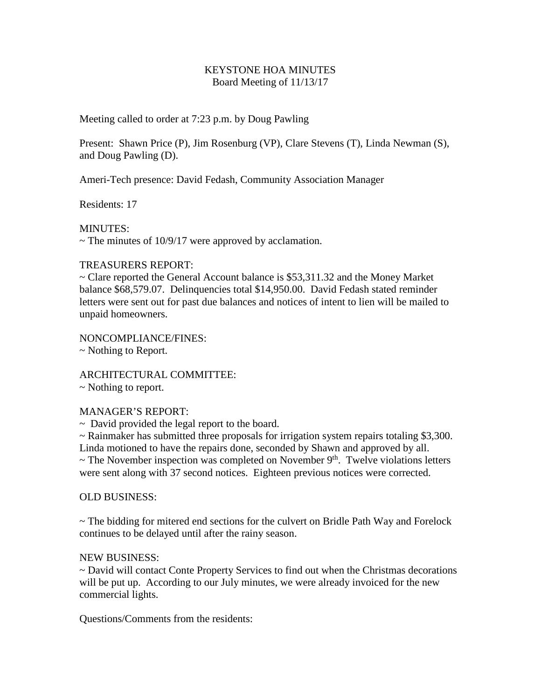### KEYSTONE HOA MINUTES Board Meeting of 11/13/17

Meeting called to order at 7:23 p.m. by Doug Pawling

Present: Shawn Price (P), Jim Rosenburg (VP), Clare Stevens (T), Linda Newman (S), and Doug Pawling (D).

Ameri-Tech presence: David Fedash, Community Association Manager

Residents: 17

MINUTES:

 $\sim$  The minutes of 10/9/17 were approved by acclamation.

## TREASURERS REPORT:

~ Clare reported the General Account balance is \$53,311.32 and the Money Market balance \$68,579.07. Delinquencies total \$14,950.00. David Fedash stated reminder letters were sent out for past due balances and notices of intent to lien will be mailed to unpaid homeowners.

NONCOMPLIANCE/FINES:

~ Nothing to Report.

ARCHITECTURAL COMMITTEE:

~ Nothing to report.

### MANAGER'S REPORT:

~ David provided the legal report to the board.

 $\sim$  Rainmaker has submitted three proposals for irrigation system repairs totaling \$3,300. Linda motioned to have the repairs done, seconded by Shawn and approved by all.

 $\sim$  The November inspection was completed on November 9<sup>th</sup>. Twelve violations letters were sent along with 37 second notices. Eighteen previous notices were corrected.

### OLD BUSINESS:

 $\sim$  The bidding for mitered end sections for the culvert on Bridle Path Way and Forelock continues to be delayed until after the rainy season.

### NEW BUSINESS:

~ David will contact Conte Property Services to find out when the Christmas decorations will be put up. According to our July minutes, we were already invoiced for the new commercial lights.

Questions/Comments from the residents: